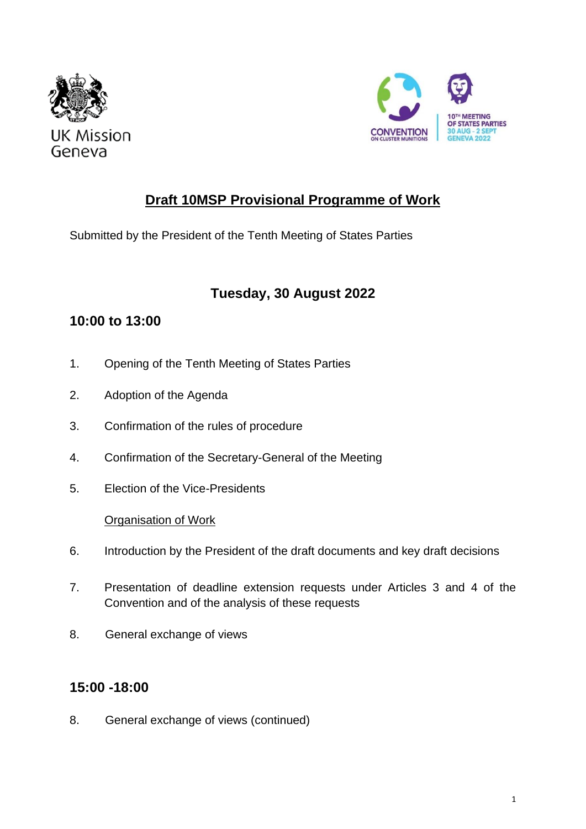



# **Draft 10MSP Provisional Programme of Work**

Submitted by the President of the Tenth Meeting of States Parties

# **Tuesday, 30 August 2022**

## **10:00 to 13:00**

- 1. Opening of the Tenth Meeting of States Parties
- 2. Adoption of the Agenda
- 3. Confirmation of the rules of procedure
- 4. Confirmation of the Secretary-General of the Meeting
- 5. Election of the Vice-Presidents

### Organisation of Work

- 6. Introduction by the President of the draft documents and key draft decisions
- 7. Presentation of deadline extension requests under Articles 3 and 4 of the Convention and of the analysis of these requests
- 8. General exchange of views

# **15:00 -18:00**

8. General exchange of views (continued)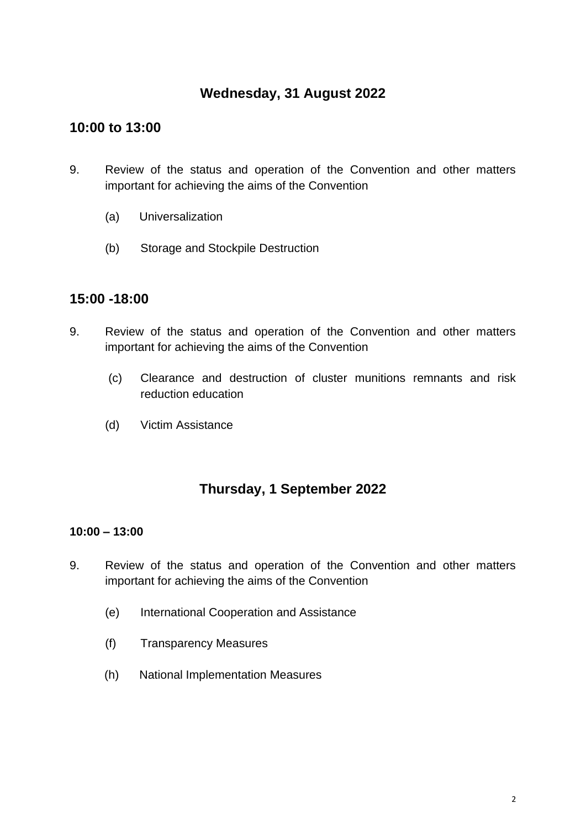## **Wednesday, 31 August 2022**

### **10:00 to 13:00**

- 9. Review of the status and operation of the Convention and other matters important for achieving the aims of the Convention
	- (a) Universalization
	- (b) Storage and Stockpile Destruction

### **15:00 -18:00**

- 9. Review of the status and operation of the Convention and other matters important for achieving the aims of the Convention
	- (c) Clearance and destruction of cluster munitions remnants and risk reduction education
	- (d) Victim Assistance

## **Thursday, 1 September 2022**

### **10:00 – 13:00**

- 9. Review of the status and operation of the Convention and other matters important for achieving the aims of the Convention
	- (e) International Cooperation and Assistance
	- (f) Transparency Measures
	- (h) National Implementation Measures